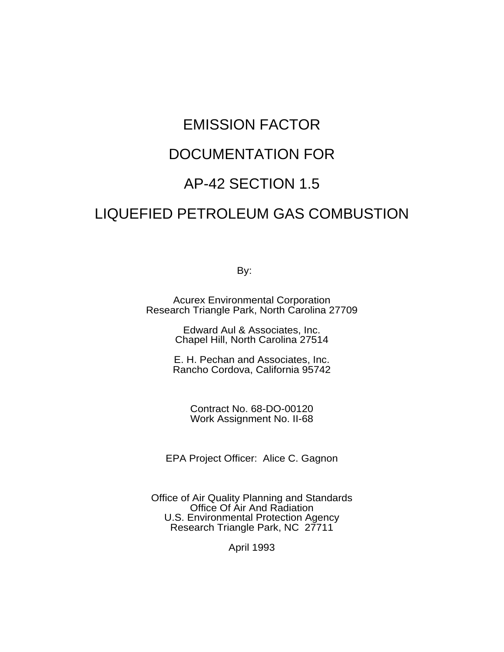# EMISSION FACTOR

# DOCUMENTATION FOR

# AP-42 SECTION 1.5

# LIQUEFIED PETROLEUM GAS COMBUSTION

By:

Acurex Environmental Corporation Research Triangle Park, North Carolina 27709

> Edward Aul & Associates, Inc. Chapel Hill, North Carolina 27514

E. H. Pechan and Associates, Inc. Rancho Cordova, California 95742

> Contract No. 68-DO-00120 Work Assignment No. II-68

EPA Project Officer: Alice C. Gagnon

Office of Air Quality Planning and Standards Office Of Air And Radiation U.S. Environmental Protection Agency Research Triangle Park, NC 27711

April 1993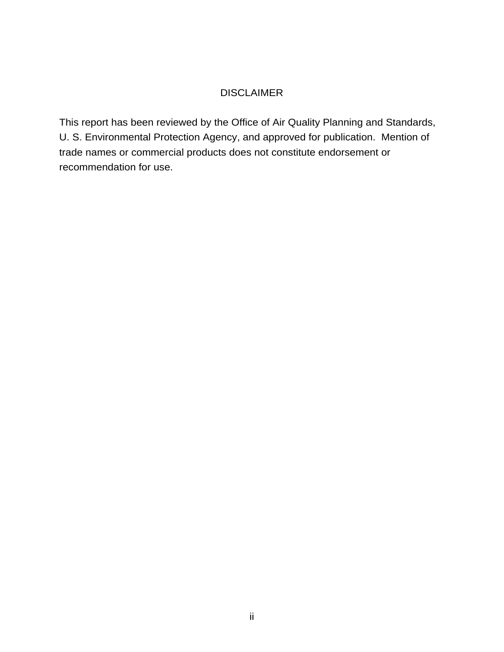## DISCLAIMER

This report has been reviewed by the Office of Air Quality Planning and Standards, U. S. Environmental Protection Agency, and approved for publication. Mention of trade names or commercial products does not constitute endorsement or recommendation for use.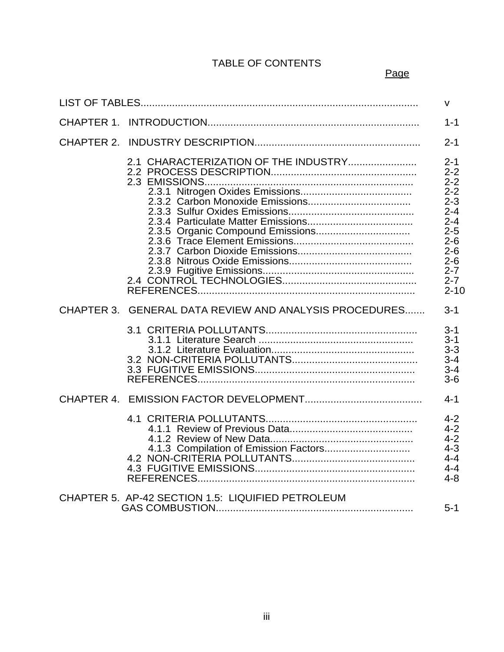# TABLE OF CONTENTS

<u>Page and the contract of the contract of the contract of the contract of the contract of the contract of the con</u>

|            |                                                        | $\mathsf{v}$                                                                                                                                            |
|------------|--------------------------------------------------------|---------------------------------------------------------------------------------------------------------------------------------------------------------|
|            |                                                        | $1 - 1$                                                                                                                                                 |
| CHAPTER 2. |                                                        | $2 - 1$                                                                                                                                                 |
|            | 2.1 CHARACTERIZATION OF THE INDUSTRY                   | $2 - 1$<br>$2 - 2$<br>$2 - 2$<br>$2 - 2$<br>$2 - 3$<br>$2 - 4$<br>$2 - 4$<br>$2 - 5$<br>$2 - 6$<br>$2 - 6$<br>$2 - 6$<br>$2 - 7$<br>$2 - 7$<br>$2 - 10$ |
|            | CHAPTER 3. GENERAL DATA REVIEW AND ANALYSIS PROCEDURES | $3 - 1$                                                                                                                                                 |
|            |                                                        | $3 - 1$<br>$3 - 1$<br>$3 - 3$<br>$3 - 4$<br>$3 - 4$<br>$3-6$                                                                                            |
|            |                                                        | $4 - 1$                                                                                                                                                 |
|            |                                                        | $4 - 2$<br>$4 - 2$<br>$4 - 2$<br>$4 - 3$<br>$4 - 4$<br>$4 - 4$<br>$4 - 8$                                                                               |
|            | CHAPTER 5. AP-42 SECTION 1.5: LIQUIFIED PETROLEUM      | $5-1$                                                                                                                                                   |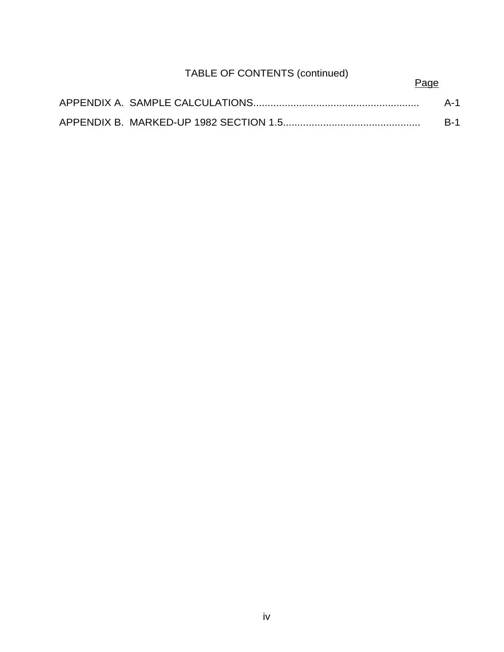# TABLE OF CONTENTS (continued)

# Page

|  | A-1 |
|--|-----|
|  |     |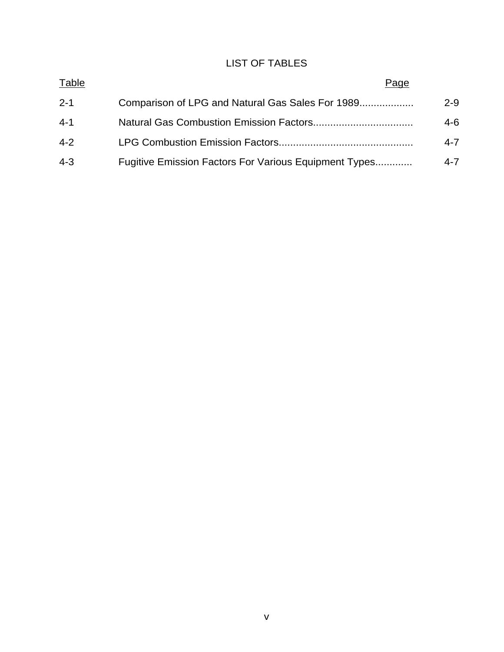# LIST OF TABLES

| Table   | Page                                                  |         |
|---------|-------------------------------------------------------|---------|
| $-2-1$  | Comparison of LPG and Natural Gas Sales For 1989      | $2 - 9$ |
| -4-1    |                                                       | 4-6.    |
| $4 - 2$ |                                                       | 4-7     |
| $-4-3$  | Fugitive Emission Factors For Various Equipment Types | 4-7     |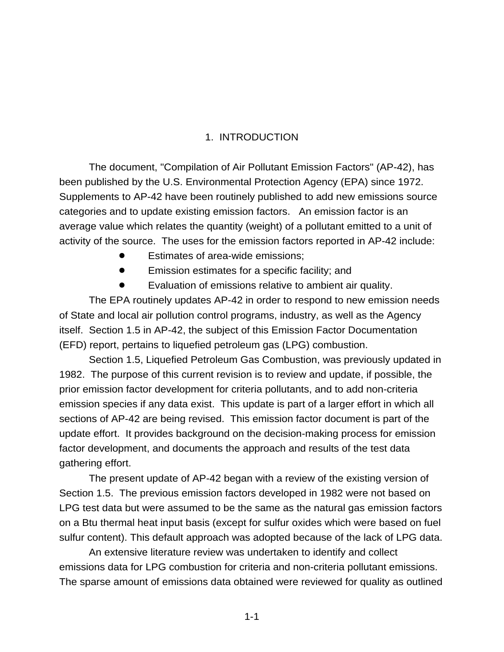## 1. INTRODUCTION

The document, "Compilation of Air Pollutant Emission Factors" (AP-42), has been published by the U.S. Environmental Protection Agency (EPA) since 1972. Supplements to AP-42 have been routinely published to add new emissions source categories and to update existing emission factors. An emission factor is an average value which relates the quantity (weight) of a pollutant emitted to a unit of activity of the source. The uses for the emission factors reported in AP-42 include:

- Estimates of area-wide emissions;
- Emission estimates for a specific facility; and
- Evaluation of emissions relative to ambient air quality.

The EPA routinely updates AP-42 in order to respond to new emission needs of State and local air pollution control programs, industry, as well as the Agency itself. Section 1.5 in AP-42, the subject of this Emission Factor Documentation (EFD) report, pertains to liquefied petroleum gas (LPG) combustion.

Section 1.5, Liquefied Petroleum Gas Combustion, was previously updated in 1982. The purpose of this current revision is to review and update, if possible, the prior emission factor development for criteria pollutants, and to add non-criteria emission species if any data exist. This update is part of a larger effort in which all sections of AP-42 are being revised. This emission factor document is part of the update effort. It provides background on the decision-making process for emission factor development, and documents the approach and results of the test data gathering effort.

The present update of AP-42 began with a review of the existing version of Section 1.5. The previous emission factors developed in 1982 were not based on LPG test data but were assumed to be the same as the natural gas emission factors on a Btu thermal heat input basis (except for sulfur oxides which were based on fuel sulfur content). This default approach was adopted because of the lack of LPG data.

An extensive literature review was undertaken to identify and collect emissions data for LPG combustion for criteria and non-criteria pollutant emissions. The sparse amount of emissions data obtained were reviewed for quality as outlined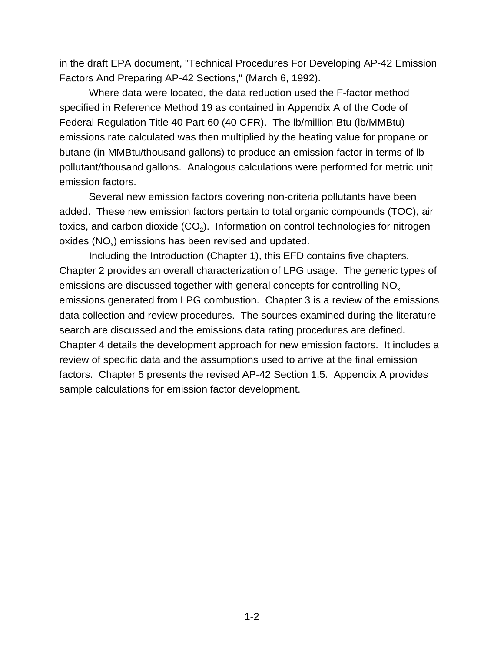in the draft EPA document, "Technical Procedures For Developing AP-42 Emission Factors And Preparing AP-42 Sections," (March 6, 1992).

Where data were located, the data reduction used the F-factor method specified in Reference Method 19 as contained in Appendix A of the Code of Federal Regulation Title 40 Part 60 (40 CFR). The lb/million Btu (lb/MMBtu) emissions rate calculated was then multiplied by the heating value for propane or butane (in MMBtu/thousand gallons) to produce an emission factor in terms of lb pollutant/thousand gallons. Analogous calculations were performed for metric unit emission factors.

Several new emission factors covering non-criteria pollutants have been added. These new emission factors pertain to total organic compounds (TOC), air toxics, and carbon dioxide  $(CO<sub>2</sub>)$ . Information on control technologies for nitrogen oxides (NO<sub>x</sub>) emissions has been revised and updated.

Including the Introduction (Chapter 1), this EFD contains five chapters. Chapter 2 provides an overall characterization of LPG usage. The generic types of emissions are discussed together with general concepts for controlling NO<sub>x</sub> emissions generated from LPG combustion. Chapter 3 is a review of the emissions data collection and review procedures. The sources examined during the literature search are discussed and the emissions data rating procedures are defined. Chapter 4 details the development approach for new emission factors. It includes a review of specific data and the assumptions used to arrive at the final emission factors. Chapter 5 presents the revised AP-42 Section 1.5. Appendix A provides sample calculations for emission factor development.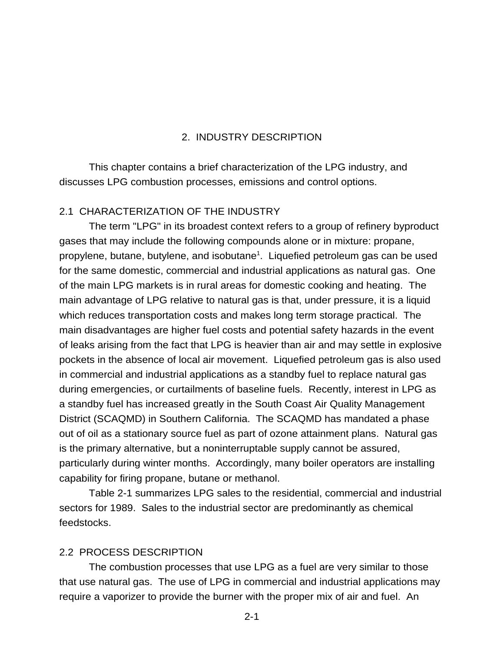### 2. INDUSTRY DESCRIPTION

This chapter contains a brief characterization of the LPG industry, and discusses LPG combustion processes, emissions and control options.

#### 2.1 CHARACTERIZATION OF THE INDUSTRY

The term "LPG" in its broadest context refers to a group of refinery byproduct gases that may include the following compounds alone or in mixture: propane, propylene, butane, butylene, and isobutane<sup>1</sup>. Liquefied petroleum gas can be used for the same domestic, commercial and industrial applications as natural gas. One of the main LPG markets is in rural areas for domestic cooking and heating. The main advantage of LPG relative to natural gas is that, under pressure, it is a liquid which reduces transportation costs and makes long term storage practical. The main disadvantages are higher fuel costs and potential safety hazards in the event of leaks arising from the fact that LPG is heavier than air and may settle in explosive pockets in the absence of local air movement. Liquefied petroleum gas is also used in commercial and industrial applications as a standby fuel to replace natural gas during emergencies, or curtailments of baseline fuels. Recently, interest in LPG as a standby fuel has increased greatly in the South Coast Air Quality Management District (SCAQMD) in Southern California. The SCAQMD has mandated a phase out of oil as a stationary source fuel as part of ozone attainment plans. Natural gas is the primary alternative, but a noninterruptable supply cannot be assured, particularly during winter months. Accordingly, many boiler operators are installing capability for firing propane, butane or methanol.

Table 2-1 summarizes LPG sales to the residential, commercial and industrial sectors for 1989. Sales to the industrial sector are predominantly as chemical feedstocks.

#### 2.2 PROCESS DESCRIPTION

The combustion processes that use LPG as a fuel are very similar to those that use natural gas. The use of LPG in commercial and industrial applications may require a vaporizer to provide the burner with the proper mix of air and fuel. An

2-1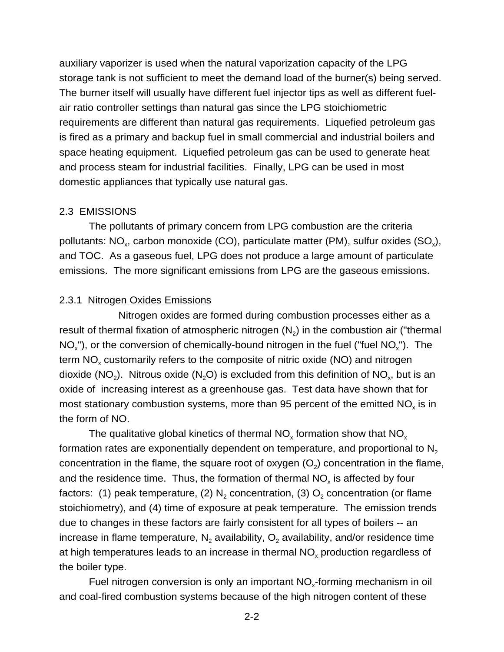auxiliary vaporizer is used when the natural vaporization capacity of the LPG storage tank is not sufficient to meet the demand load of the burner(s) being served. The burner itself will usually have different fuel injector tips as well as different fuelair ratio controller settings than natural gas since the LPG stoichiometric requirements are different than natural gas requirements. Liquefied petroleum gas is fired as a primary and backup fuel in small commercial and industrial boilers and space heating equipment. Liquefied petroleum gas can be used to generate heat and process steam for industrial facilities. Finally, LPG can be used in most domestic appliances that typically use natural gas.

#### 2.3 EMISSIONS

The pollutants of primary concern from LPG combustion are the criteria pollutants:  $NO<sub>x</sub>$ , carbon monoxide (CO), particulate matter (PM), sulfur oxides (SO<sub>x</sub>), and TOC. As a gaseous fuel, LPG does not produce a large amount of particulate emissions. The more significant emissions from LPG are the gaseous emissions.

#### 2.3.1 Nitrogen Oxides Emissions

Nitrogen oxides are formed during combustion processes either as a result of thermal fixation of atmospheric nitrogen  $(N_2)$  in the combustion air ("thermal  $NO<sub>x</sub>$ "), or the conversion of chemically-bound nitrogen in the fuel ("fuel  $NO<sub>x</sub>$ "). The term  $NO<sub>x</sub>$  customarily refers to the composite of nitric oxide (NO) and nitrogen dioxide (NO<sub>2</sub>). Nitrous oxide (N<sub>2</sub>O) is excluded from this definition of NO<sub>x</sub>, but is an oxide of increasing interest as a greenhouse gas. Test data have shown that for most stationary combustion systems, more than 95 percent of the emitted  $NO<sub>x</sub>$  is in the form of NO.

The qualitative global kinetics of thermal  $NO<sub>x</sub>$  formation show that  $NO<sub>x</sub>$ formation rates are exponentially dependent on temperature, and proportional to  $N<sub>2</sub>$ concentration in the flame, the square root of oxygen  $(O<sub>2</sub>)$  concentration in the flame, and the residence time. Thus, the formation of thermal  $NO<sub>x</sub>$  is affected by four factors: (1) peak temperature, (2)  $N_2$  concentration, (3)  $O_2$  concentration (or flame stoichiometry), and (4) time of exposure at peak temperature. The emission trends due to changes in these factors are fairly consistent for all types of boilers -- an increase in flame temperature,  $N_2$  availability,  $O_2$  availability, and/or residence time at high temperatures leads to an increase in thermal  $NO<sub>x</sub>$  production regardless of the boiler type.

Fuel nitrogen conversion is only an important  $NO<sub>x</sub>$ -forming mechanism in oil and coal-fired combustion systems because of the high nitrogen content of these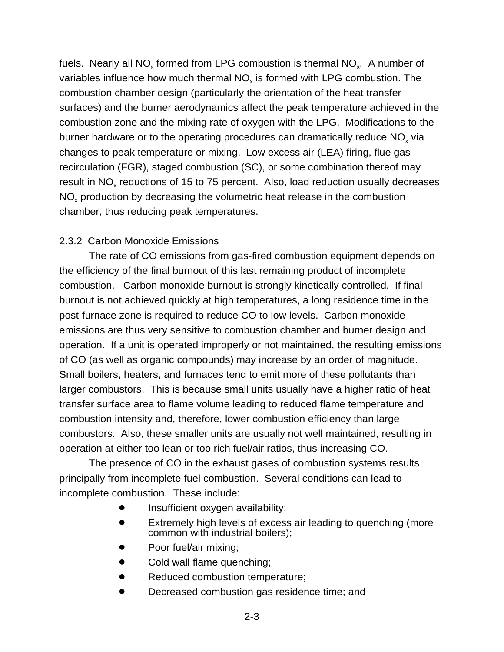fuels. Nearly all NO<sub>x</sub> formed from LPG combustion is thermal NO<sub>x</sub>. A number of variables influence how much thermal NO<sub>y</sub> is formed with LPG combustion. The combustion chamber design (particularly the orientation of the heat transfer surfaces) and the burner aerodynamics affect the peak temperature achieved in the combustion zone and the mixing rate of oxygen with the LPG. Modifications to the burner hardware or to the operating procedures can dramatically reduce NO<sub>y</sub> via changes to peak temperature or mixing. Low excess air (LEA) firing, flue gas recirculation (FGR), staged combustion (SC), or some combination thereof may result in NO<sub>x</sub> reductions of 15 to 75 percent. Also, load reduction usually decreases NO<sub>x</sub> production by decreasing the volumetric heat release in the combustion chamber, thus reducing peak temperatures.

## 2.3.2 Carbon Monoxide Emissions

The rate of CO emissions from gas-fired combustion equipment depends on the efficiency of the final burnout of this last remaining product of incomplete combustion. Carbon monoxide burnout is strongly kinetically controlled. If final burnout is not achieved quickly at high temperatures, a long residence time in the post-furnace zone is required to reduce CO to low levels. Carbon monoxide emissions are thus very sensitive to combustion chamber and burner design and operation. If a unit is operated improperly or not maintained, the resulting emissions of CO (as well as organic compounds) may increase by an order of magnitude. Small boilers, heaters, and furnaces tend to emit more of these pollutants than larger combustors. This is because small units usually have a higher ratio of heat transfer surface area to flame volume leading to reduced flame temperature and combustion intensity and, therefore, lower combustion efficiency than large combustors. Also, these smaller units are usually not well maintained, resulting in operation at either too lean or too rich fuel/air ratios, thus increasing CO.

The presence of CO in the exhaust gases of combustion systems results principally from incomplete fuel combustion. Several conditions can lead to incomplete combustion. These include:

- Insufficient oxygen availability;
- Extremely high levels of excess air leading to quenching (more common with industrial boilers);
- Poor fuel/air mixing;
- Cold wall flame quenching;
- Reduced combustion temperature;
- Decreased combustion gas residence time; and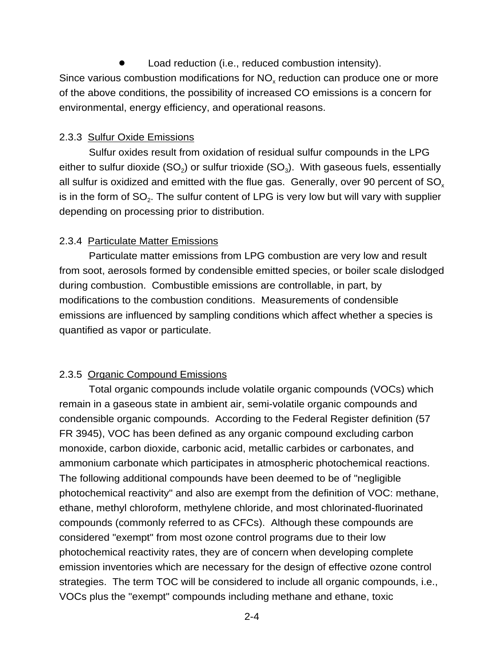Load reduction (i.e., reduced combustion intensity). Since various combustion modifications for  $NO<sub>x</sub>$  reduction can produce one or more of the above conditions, the possibility of increased CO emissions is a concern for environmental, energy efficiency, and operational reasons.

#### 2.3.3 Sulfur Oxide Emissions

Sulfur oxides result from oxidation of residual sulfur compounds in the LPG either to sulfur dioxide (SO<sub>2</sub>) or sulfur trioxide (SO<sub>3</sub>). With gaseous fuels, essentially all sulfur is oxidized and emitted with the flue gas. Generally, over 90 percent of SO. is in the form of SO<sub>2</sub>. The sulfur content of LPG is very low but will vary with supplier depending on processing prior to distribution.

#### 2.3.4 Particulate Matter Emissions

Particulate matter emissions from LPG combustion are very low and result from soot, aerosols formed by condensible emitted species, or boiler scale dislodged during combustion. Combustible emissions are controllable, in part, by modifications to the combustion conditions. Measurements of condensible emissions are influenced by sampling conditions which affect whether a species is quantified as vapor or particulate.

#### 2.3.5 Organic Compound Emissions

Total organic compounds include volatile organic compounds (VOCs) which remain in a gaseous state in ambient air, semi-volatile organic compounds and condensible organic compounds. According to the Federal Register definition (57 FR 3945), VOC has been defined as any organic compound excluding carbon monoxide, carbon dioxide, carbonic acid, metallic carbides or carbonates, and ammonium carbonate which participates in atmospheric photochemical reactions. The following additional compounds have been deemed to be of "negligible photochemical reactivity" and also are exempt from the definition of VOC: methane, ethane, methyl chloroform, methylene chloride, and most chlorinated-fluorinated compounds (commonly referred to as CFCs). Although these compounds are considered "exempt" from most ozone control programs due to their low photochemical reactivity rates, they are of concern when developing complete emission inventories which are necessary for the design of effective ozone control strategies. The term TOC will be considered to include all organic compounds, i.e., VOCs plus the "exempt" compounds including methane and ethane, toxic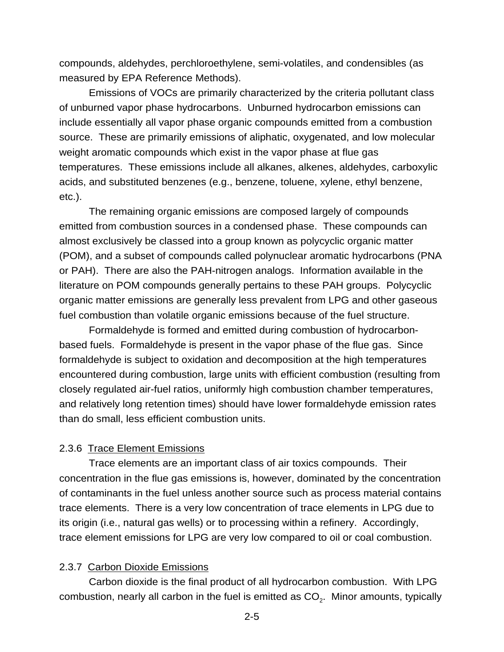compounds, aldehydes, perchloroethylene, semi-volatiles, and condensibles (as measured by EPA Reference Methods).

Emissions of VOCs are primarily characterized by the criteria pollutant class of unburned vapor phase hydrocarbons. Unburned hydrocarbon emissions can include essentially all vapor phase organic compounds emitted from a combustion source. These are primarily emissions of aliphatic, oxygenated, and low molecular weight aromatic compounds which exist in the vapor phase at flue gas temperatures. These emissions include all alkanes, alkenes, aldehydes, carboxylic acids, and substituted benzenes (e.g., benzene, toluene, xylene, ethyl benzene, etc.).

The remaining organic emissions are composed largely of compounds emitted from combustion sources in a condensed phase. These compounds can almost exclusively be classed into a group known as polycyclic organic matter (POM), and a subset of compounds called polynuclear aromatic hydrocarbons (PNA or PAH). There are also the PAH-nitrogen analogs. Information available in the literature on POM compounds generally pertains to these PAH groups. Polycyclic organic matter emissions are generally less prevalent from LPG and other gaseous fuel combustion than volatile organic emissions because of the fuel structure.

Formaldehyde is formed and emitted during combustion of hydrocarbonbased fuels. Formaldehyde is present in the vapor phase of the flue gas. Since formaldehyde is subject to oxidation and decomposition at the high temperatures encountered during combustion, large units with efficient combustion (resulting from closely regulated air-fuel ratios, uniformly high combustion chamber temperatures, and relatively long retention times) should have lower formaldehyde emission rates than do small, less efficient combustion units.

#### 2.3.6 Trace Element Emissions

 Trace elements are an important class of air toxics compounds. Their concentration in the flue gas emissions is, however, dominated by the concentration of contaminants in the fuel unless another source such as process material contains trace elements. There is a very low concentration of trace elements in LPG due to its origin (i.e., natural gas wells) or to processing within a refinery. Accordingly, trace element emissions for LPG are very low compared to oil or coal combustion.

## 2.3.7 Carbon Dioxide Emissions

Carbon dioxide is the final product of all hydrocarbon combustion. With LPG combustion, nearly all carbon in the fuel is emitted as  $CO<sub>2</sub>$ . Minor amounts, typically

2-5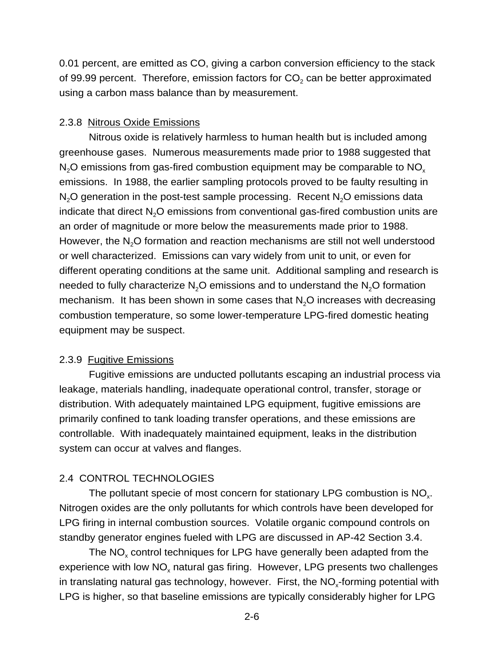0.01 percent, are emitted as CO, giving a carbon conversion efficiency to the stack of 99.99 percent. Therefore, emission factors for  $CO<sub>2</sub>$  can be better approximated using a carbon mass balance than by measurement.

#### 2.3.8 Nitrous Oxide Emissions

Nitrous oxide is relatively harmless to human health but is included among greenhouse gases. Numerous measurements made prior to 1988 suggested that N<sub>2</sub>O emissions from gas-fired combustion equipment may be comparable to  $NO<sub>x</sub>$ emissions. In 1988, the earlier sampling protocols proved to be faulty resulting in  $N<sub>2</sub>O$  generation in the post-test sample processing. Recent  $N<sub>2</sub>O$  emissions data indicate that direct  $N<sub>2</sub>O$  emissions from conventional gas-fired combustion units are an order of magnitude or more below the measurements made prior to 1988. However, the  $N<sub>2</sub>O$  formation and reaction mechanisms are still not well understood or well characterized. Emissions can vary widely from unit to unit, or even for different operating conditions at the same unit. Additional sampling and research is needed to fully characterize  $N<sub>2</sub>O$  emissions and to understand the  $N<sub>2</sub>O$  formation mechanism. It has been shown in some cases that  $N<sub>2</sub>O$  increases with decreasing combustion temperature, so some lower-temperature LPG-fired domestic heating equipment may be suspect.

#### 2.3.9 Fugitive Emissions

Fugitive emissions are unducted pollutants escaping an industrial process via leakage, materials handling, inadequate operational control, transfer, storage or distribution. With adequately maintained LPG equipment, fugitive emissions are primarily confined to tank loading transfer operations, and these emissions are controllable. With inadequately maintained equipment, leaks in the distribution system can occur at valves and flanges.

#### 2.4 CONTROL TECHNOLOGIES

The pollutant specie of most concern for stationary LPG combustion is  $NO<sub>x</sub>$ . Nitrogen oxides are the only pollutants for which controls have been developed for LPG firing in internal combustion sources. Volatile organic compound controls on standby generator engines fueled with LPG are discussed in AP-42 Section 3.4.

The  $NO<sub>x</sub>$  control techniques for LPG have generally been adapted from the experience with low  $NO<sub>x</sub>$  natural gas firing. However, LPG presents two challenges in translating natural gas technology, however. First, the  $NO<sub>x</sub>$ -forming potential with LPG is higher, so that baseline emissions are typically considerably higher for LPG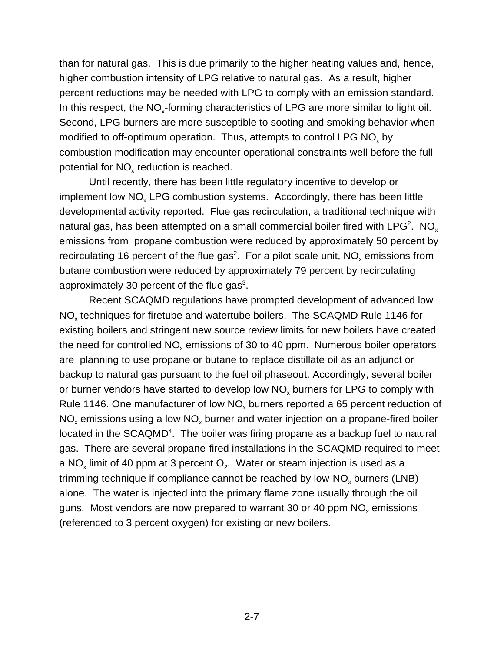than for natural gas. This is due primarily to the higher heating values and, hence, higher combustion intensity of LPG relative to natural gas. As a result, higher percent reductions may be needed with LPG to comply with an emission standard. In this respect, the  $NO<sub>x</sub>$ -forming characteristics of LPG are more similar to light oil. Second, LPG burners are more susceptible to sooting and smoking behavior when modified to off-optimum operation. Thus, attempts to control LPG  $NO<sub>x</sub>$  by combustion modification may encounter operational constraints well before the full potential for  $NO<sub>x</sub>$  reduction is reached.

Until recently, there has been little regulatory incentive to develop or implement low NO<sub>y</sub> LPG combustion systems. Accordingly, there has been little developmental activity reported. Flue gas recirculation, a traditional technique with natural gas, has been attempted on a small commercial boiler fired with LPG $^{\rm 2}$ .  $\,$  NO $_{\rm x}$ emissions from propane combustion were reduced by approximately 50 percent by recirculating 16 percent of the flue gas<sup>2</sup>. For a pilot scale unit, NO<sub>x</sub> emissions from butane combustion were reduced by approximately 79 percent by recirculating approximately 30 percent of the flue gas $3$ .

Recent SCAQMD regulations have prompted development of advanced low NO<sub>x</sub> techniques for firetube and watertube boilers. The SCAQMD Rule 1146 for existing boilers and stringent new source review limits for new boilers have created the need for controlled  $NO<sub>x</sub>$  emissions of 30 to 40 ppm. Numerous boiler operators are planning to use propane or butane to replace distillate oil as an adjunct or backup to natural gas pursuant to the fuel oil phaseout. Accordingly, several boiler or burner vendors have started to develop low NO<sub>x</sub> burners for LPG to comply with Rule 1146. One manufacturer of low  $NO<sub>x</sub>$  burners reported a 65 percent reduction of  $NO<sub>x</sub>$  emissions using a low  $NO<sub>x</sub>$  burner and water injection on a propane-fired boiler located in the SCAQMD<sup>4</sup>. The boiler was firing propane as a backup fuel to natural gas. There are several propane-fired installations in the SCAQMD required to meet a NO<sub>x</sub> limit of 40 ppm at 3 percent  $O_2$ . Water or steam injection is used as a trimming technique if compliance cannot be reached by low-NO<sub>y</sub> burners (LNB) alone. The water is injected into the primary flame zone usually through the oil guns. Most vendors are now prepared to warrant 30 or 40 ppm  $NO<sub>x</sub>$  emissions (referenced to 3 percent oxygen) for existing or new boilers.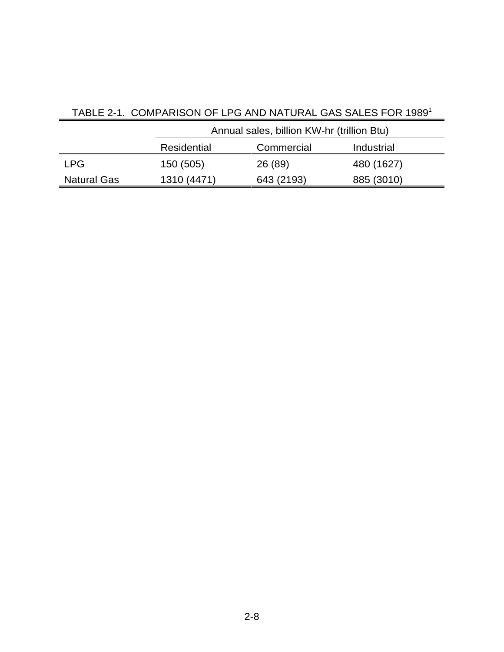|                    | Annual sales, billion KW-hr (trillion Btu) |            |            |  |
|--------------------|--------------------------------------------|------------|------------|--|
|                    | Residential<br>Commercial                  |            | Industrial |  |
| <b>LPG</b>         | 150 (505)                                  | 26 (89)    | 480 (1627) |  |
| <b>Natural Gas</b> | 1310 (4471)                                | 643 (2193) | 885 (3010) |  |

# TABLE 2-1. COMPARISON OF LPG AND NATURAL GAS SALES FOR 1989<sup>1</sup>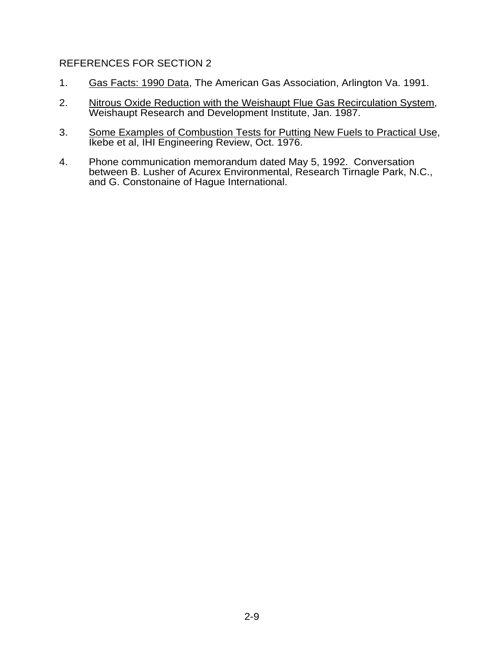#### REFERENCES FOR SECTION 2

- 1. Gas Facts: 1990 Data, The American Gas Association, Arlington Va. 1991.
- 2. Nitrous Oxide Reduction with the Weishaupt Flue Gas Recirculation System, Weishaupt Research and Development Institute, Jan. 1987.
- 3. Some Examples of Combustion Tests for Putting New Fuels to Practical Use, Ikebe et al, IHI Engineering Review, Oct. 1976.
- 4. Phone communication memorandum dated May 5, 1992. Conversation between B. Lusher of Acurex Environmental, Research Tirnagle Park, N.C., and G. Constonaine of Hague International.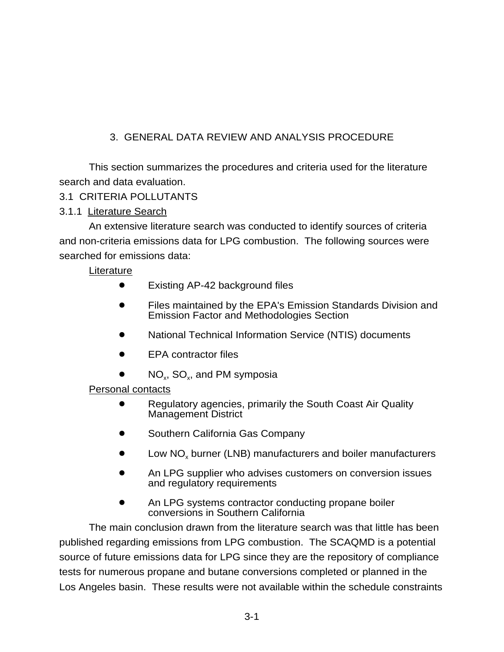# 3. GENERAL DATA REVIEW AND ANALYSIS PROCEDURE

This section summarizes the procedures and criteria used for the literature search and data evaluation.

# 3.1 CRITERIA POLLUTANTS

# 3.1.1 Literature Search

An extensive literature search was conducted to identify sources of criteria and non-criteria emissions data for LPG combustion. The following sources were searched for emissions data:

## **Literature**

- Existing AP-42 background files
- Files maintained by the EPA's Emission Standards Division and Emission Factor and Methodologies Section
- National Technical Information Service (NTIS) documents
- ! EPA contractor files
- $NO_x$ , SO<sub>x</sub>, and PM symposia

## Personal contacts

- Regulatory agencies, primarily the South Coast Air Quality Management District
- Southern California Gas Company
- Low NO<sub>y</sub> burner (LNB) manufacturers and boiler manufacturers
- An LPG supplier who advises customers on conversion issues and regulatory requirements
- **An LPG systems contractor conducting propane boiler** conversions in Southern California

The main conclusion drawn from the literature search was that little has been published regarding emissions from LPG combustion. The SCAQMD is a potential source of future emissions data for LPG since they are the repository of compliance tests for numerous propane and butane conversions completed or planned in the Los Angeles basin. These results were not available within the schedule constraints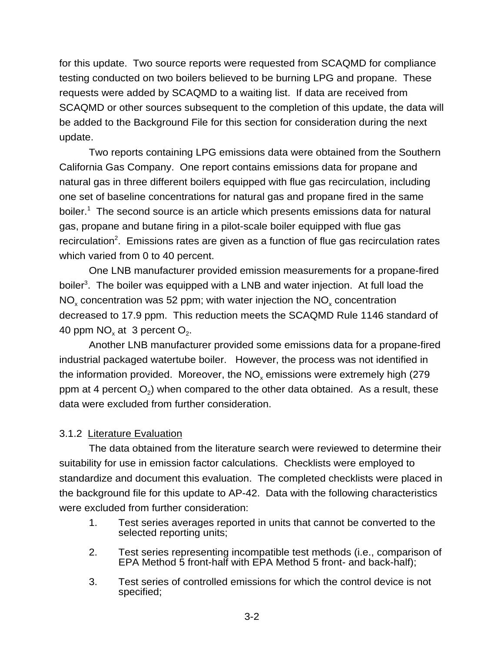for this update. Two source reports were requested from SCAQMD for compliance testing conducted on two boilers believed to be burning LPG and propane. These requests were added by SCAQMD to a waiting list. If data are received from SCAQMD or other sources subsequent to the completion of this update, the data will be added to the Background File for this section for consideration during the next update.

Two reports containing LPG emissions data were obtained from the Southern California Gas Company. One report contains emissions data for propane and natural gas in three different boilers equipped with flue gas recirculation, including one set of baseline concentrations for natural gas and propane fired in the same boiler.<sup>1</sup> The second source is an article which presents emissions data for natural gas, propane and butane firing in a pilot-scale boiler equipped with flue gas recirculation<sup>2</sup>. Emissions rates are given as a function of flue gas recirculation rates which varied from 0 to 40 percent.

One LNB manufacturer provided emission measurements for a propane-fired boiler<sup>3</sup>. The boiler was equipped with a LNB and water injection. At full load the  $NO<sub>x</sub>$  concentration was 52 ppm; with water injection the  $NO<sub>x</sub>$  concentration decreased to 17.9 ppm. This reduction meets the SCAQMD Rule 1146 standard of 40 ppm  $NO<sub>x</sub>$  at 3 percent  $O<sub>2</sub>$ .

Another LNB manufacturer provided some emissions data for a propane-fired industrial packaged watertube boiler. However, the process was not identified in the information provided. Moreover, the  $NO<sub>x</sub>$  emissions were extremely high (279) ppm at 4 percent  $O<sub>2</sub>$ ) when compared to the other data obtained. As a result, these data were excluded from further consideration.

#### 3.1.2 Literature Evaluation

The data obtained from the literature search were reviewed to determine their suitability for use in emission factor calculations. Checklists were employed to standardize and document this evaluation. The completed checklists were placed in the background file for this update to AP-42. Data with the following characteristics were excluded from further consideration:

- 1. Test series averages reported in units that cannot be converted to the selected reporting units;
- 2. Test series representing incompatible test methods (i.e., comparison of EPA Method 5 front-half with EPA Method 5 front- and back-half);
- 3. Test series of controlled emissions for which the control device is not specified;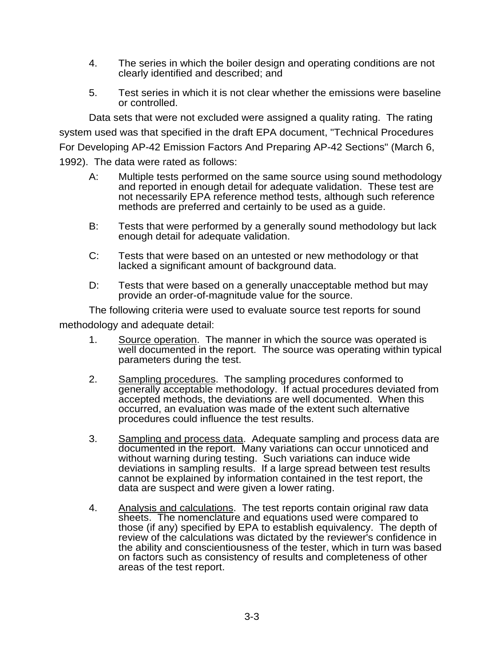- 4. The series in which the boiler design and operating conditions are not clearly identified and described; and
- 5. Test series in which it is not clear whether the emissions were baseline or controlled.

Data sets that were not excluded were assigned a quality rating. The rating system used was that specified in the draft EPA document, "Technical Procedures For Developing AP-42 Emission Factors And Preparing AP-42 Sections" (March 6, 1992). The data were rated as follows:

- A: Multiple tests performed on the same source using sound methodology and reported in enough detail for adequate validation. These test are not necessarily EPA reference method tests, although such reference methods are preferred and certainly to be used as a guide.
- B: Tests that were performed by a generally sound methodology but lack enough detail for adequate validation.
- C: Tests that were based on an untested or new methodology or that lacked a significant amount of background data.
- D: Tests that were based on a generally unacceptable method but may provide an order-of-magnitude value for the source.

The following criteria were used to evaluate source test reports for sound

methodology and adequate detail:

- 1. Source operation. The manner in which the source was operated is well documented in the report. The source was operating within typical parameters during the test.
- 2. Sampling procedures. The sampling procedures conformed to generally acceptable methodology. If actual procedures deviated from accepted methods, the deviations are well documented. When this occurred, an evaluation was made of the extent such alternative procedures could influence the test results.
- 3. Sampling and process data. Adequate sampling and process data are documented in the report. Many variations can occur unnoticed and without warning during testing. Such variations can induce wide deviations in sampling results. If a large spread between test results cannot be explained by information contained in the test report, the data are suspect and were given a lower rating.
- 4. Analysis and calculations. The test reports contain original raw data sheets. The nomenclature and equations used were compared to those (if any) specified by EPA to establish equivalency. The depth of review of the calculations was dictated by the reviewer's confidence in the ability and conscientiousness of the tester, which in turn was based on factors such as consistency of results and completeness of other areas of the test report.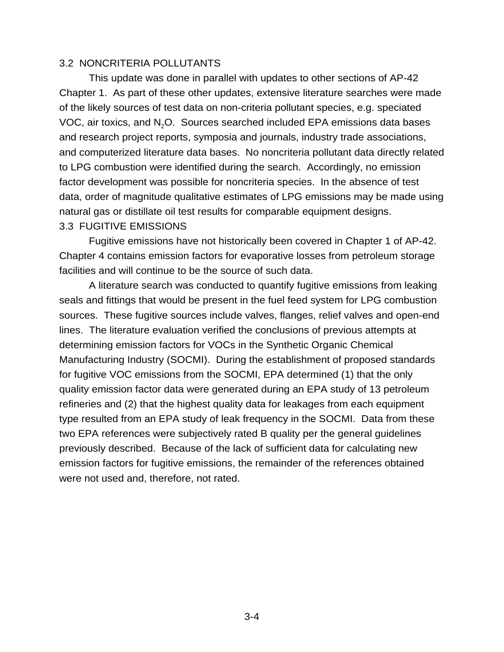#### 3.2 NONCRITERIA POLLUTANTS

This update was done in parallel with updates to other sections of AP-42 Chapter 1. As part of these other updates, extensive literature searches were made of the likely sources of test data on non-criteria pollutant species, e.g. speciated VOC, air toxics, and N2O. Sources searched included EPA emissions data bases and research project reports, symposia and journals, industry trade associations, and computerized literature data bases. No noncriteria pollutant data directly related to LPG combustion were identified during the search. Accordingly, no emission factor development was possible for noncriteria species. In the absence of test data, order of magnitude qualitative estimates of LPG emissions may be made using natural gas or distillate oil test results for comparable equipment designs. 3.3 FUGITIVE EMISSIONS

Fugitive emissions have not historically been covered in Chapter 1 of AP-42. Chapter 4 contains emission factors for evaporative losses from petroleum storage facilities and will continue to be the source of such data.

A literature search was conducted to quantify fugitive emissions from leaking seals and fittings that would be present in the fuel feed system for LPG combustion sources. These fugitive sources include valves, flanges, relief valves and open-end lines. The literature evaluation verified the conclusions of previous attempts at determining emission factors for VOCs in the Synthetic Organic Chemical Manufacturing Industry (SOCMI). During the establishment of proposed standards for fugitive VOC emissions from the SOCMI, EPA determined (1) that the only quality emission factor data were generated during an EPA study of 13 petroleum refineries and (2) that the highest quality data for leakages from each equipment type resulted from an EPA study of leak frequency in the SOCMI. Data from these two EPA references were subjectively rated B quality per the general guidelines previously described. Because of the lack of sufficient data for calculating new emission factors for fugitive emissions, the remainder of the references obtained were not used and, therefore, not rated.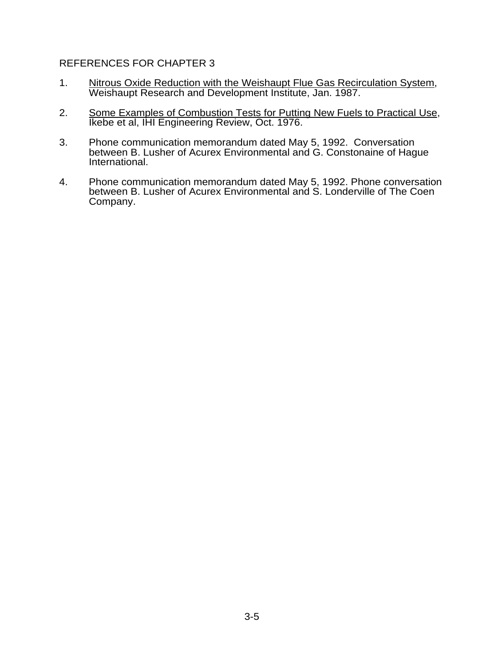#### REFERENCES FOR CHAPTER 3

- 1. Nitrous Oxide Reduction with the Weishaupt Flue Gas Recirculation System, Weishaupt Research and Development Institute, Jan. 1987.
- 2. Some Examples of Combustion Tests for Putting New Fuels to Practical Use, Ikebe et al, IHI Engineering Review, Oct. 1976.
- 3. Phone communication memorandum dated May 5, 1992. Conversation between B. Lusher of Acurex Environmental and G. Constonaine of Hague International.
- 4. Phone communication memorandum dated May 5, 1992. Phone conversation between B. Lusher of Acurex Environmental and S. Londerville of The Coen Company.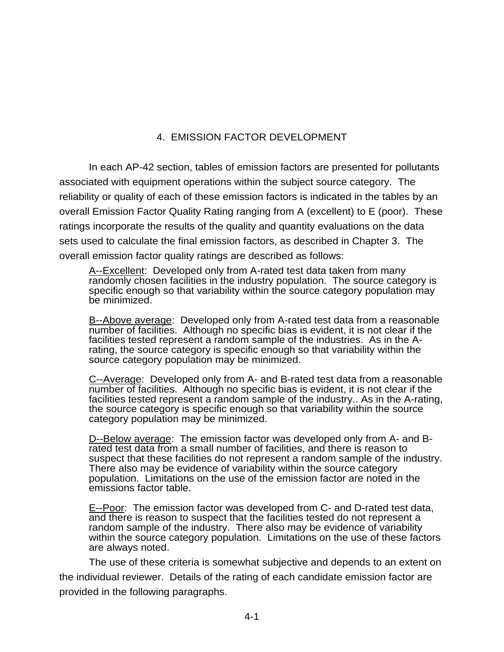# 4. EMISSION FACTOR DEVELOPMENT

In each AP-42 section, tables of emission factors are presented for pollutants associated with equipment operations within the subject source category. The reliability or quality of each of these emission factors is indicated in the tables by an overall Emission Factor Quality Rating ranging from A (excellent) to E (poor). These ratings incorporate the results of the quality and quantity evaluations on the data sets used to calculate the final emission factors, as described in Chapter 3. The overall emission factor quality ratings are described as follows:

A--Excellent: Developed only from A-rated test data taken from many randomly chosen facilities in the industry population. The source category is specific enough so that variability within the source category population may be minimized.

B--Above average: Developed only from A-rated test data from a reasonable number of facilities. Although no specific bias is evident, it is not clear if the facilities tested represent a random sample of the industries. As in the Arating, the source category is specific enough so that variability within the source category population may be minimized.

C--Average: Developed only from A- and B-rated test data from a reasonable number of facilities. Although no specific bias is evident, it is not clear if the facilities tested represent a random sample of the industry.. As in the A-rating, the source category is specific enough so that variability within the source category population may be minimized.

D--Below average: The emission factor was developed only from A- and Brated test data from a small number of facilities, and there is reason to suspect that these facilities do not represent a random sample of the industry. There also may be evidence of variability within the source category population. Limitations on the use of the emission factor are noted in the emissions factor table.

E--Poor: The emission factor was developed from C- and D-rated test data, and there is reason to suspect that the facilities tested do not represent a random sample of the industry. There also may be evidence of variability within the source category population. Limitations on the use of these factors are always noted.

The use of these criteria is somewhat subjective and depends to an extent on the individual reviewer. Details of the rating of each candidate emission factor are provided in the following paragraphs.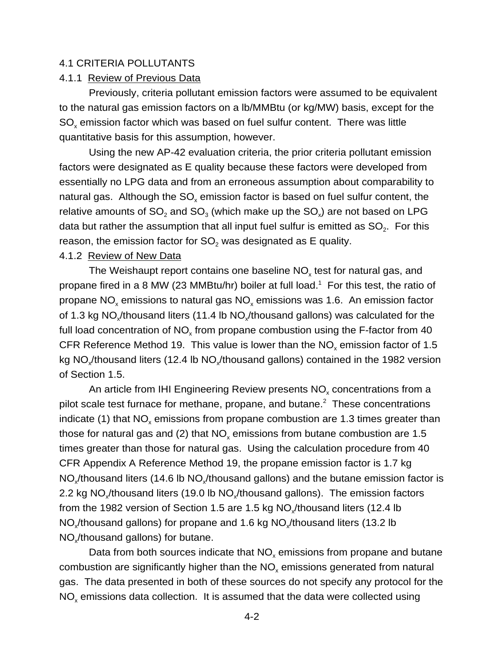#### 4.1 CRITERIA POLLUTANTS

#### 4.1.1 Review of Previous Data

Previously, criteria pollutant emission factors were assumed to be equivalent to the natural gas emission factors on a lb/MMBtu (or kg/MW) basis, except for the  $SO<sub>x</sub>$  emission factor which was based on fuel sulfur content. There was little quantitative basis for this assumption, however.

Using the new AP-42 evaluation criteria, the prior criteria pollutant emission factors were designated as E quality because these factors were developed from essentially no LPG data and from an erroneous assumption about comparability to natural gas. Although the  $SO_x$  emission factor is based on fuel sulfur content, the relative amounts of  $SO_2$  and  $SO_3$  (which make up the  $SO_2$ ) are not based on LPG data but rather the assumption that all input fuel sulfur is emitted as  $SO<sub>2</sub>$ . For this reason, the emission factor for  $SO<sub>2</sub>$  was designated as E quality.

#### 4.1.2 Review of New Data

The Weishaupt report contains one baseline  $NO<sub>x</sub>$  test for natural gas, and propane fired in a 8 MW (23 MMBtu/hr) boiler at full load.<sup>1</sup> For this test, the ratio of propane  $NO_x$  emissions to natural gas  $NO_x$  emissions was 1.6. An emission factor of 1.3 kg NO<sub>x</sub>/thousand liters (11.4 lb NO<sub>x</sub>/thousand gallons) was calculated for the full load concentration of  $NO<sub>x</sub>$  from propane combustion using the F-factor from 40 CFR Reference Method 19. This value is lower than the  $NO<sub>x</sub>$  emission factor of 1.5 kg NO<sub>x</sub>/thousand liters (12.4 lb NO<sub>x</sub>/thousand gallons) contained in the 1982 version of Section 1.5.

An article from IHI Engineering Review presents NO<sub>x</sub> concentrations from a pilot scale test furnace for methane, propane, and butane. $2$  These concentrations indicate (1) that  $NO<sub>x</sub>$  emissions from propane combustion are 1.3 times greater than those for natural gas and (2) that  $NO<sub>x</sub>$  emissions from butane combustion are 1.5 times greater than those for natural gas. Using the calculation procedure from 40 CFR Appendix A Reference Method 19, the propane emission factor is 1.7 kg  $NO<sub>x</sub>/thousand liters$  (14.6 lb  $NO<sub>x</sub>/thousand gallons$ ) and the butane emission factor is 2.2 kg NO<sub>x</sub>/thousand liters (19.0 lb NO<sub>x</sub>/thousand gallons). The emission factors from the 1982 version of Section 1.5 are 1.5 kg NO thousand liters (12.4 lb NO<sub>x</sub>/thousand gallons) for propane and 1.6 kg NO<sub>x</sub>/thousand liters (13.2 lb NO<sub>y</sub>/thousand gallons) for butane.

Data from both sources indicate that  $NO<sub>x</sub>$  emissions from propane and butane combustion are significantly higher than the  $NO<sub>x</sub>$  emissions generated from natural gas. The data presented in both of these sources do not specify any protocol for the  $NO<sub>x</sub>$  emissions data collection. It is assumed that the data were collected using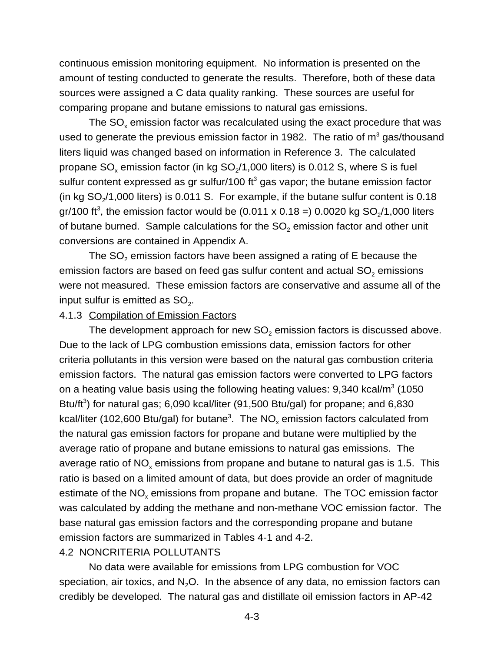continuous emission monitoring equipment. No information is presented on the amount of testing conducted to generate the results. Therefore, both of these data sources were assigned a C data quality ranking. These sources are useful for comparing propane and butane emissions to natural gas emissions.

The  $SO<sub>x</sub>$  emission factor was recalculated using the exact procedure that was used to generate the previous emission factor in 1982. The ratio of  $m<sup>3</sup>$  gas/thousand liters liquid was changed based on information in Reference 3. The calculated propane  $SO_{x}$  emission factor (in kg  $SO_{2}/1,000$  liters) is 0.012 S, where S is fuel sulfur content expressed as gr sulfur/100 ft<sup>3</sup> gas vapor; the butane emission factor (in kg  $SO<sub>2</sub>/1,000$  liters) is 0.011 S. For example, if the butane sulfur content is 0.18 gr/100 ft<sup>3</sup>, the emission factor would be (0.011 x 0.18 =) 0.0020 kg SO<sub>2</sub>/1,000 liters of butane burned. Sample calculations for the  $SO_2$  emission factor and other unit conversions are contained in Appendix A.

The  $SO<sub>2</sub>$  emission factors have been assigned a rating of E because the emission factors are based on feed gas sulfur content and actual  $SO<sub>2</sub>$  emissions were not measured. These emission factors are conservative and assume all of the input sulfur is emitted as  $SO<sub>2</sub>$ .

#### 4.1.3 Compilation of Emission Factors

The development approach for new  $SO<sub>2</sub>$  emission factors is discussed above. Due to the lack of LPG combustion emissions data, emission factors for other criteria pollutants in this version were based on the natural gas combustion criteria emission factors. The natural gas emission factors were converted to LPG factors on a heating value basis using the following heating values:  $9,340$  kcal/m<sup>3</sup> (1050 Btu/ft<sup>3</sup>) for natural gas; 6,090 kcal/liter (91,500 Btu/gal) for propane; and 6,830 kcal/liter (102,600 Btu/gal) for butane<sup>3</sup>. The NO<sub>x</sub> emission factors calculated from the natural gas emission factors for propane and butane were multiplied by the average ratio of propane and butane emissions to natural gas emissions. The average ratio of  $NO<sub>x</sub>$  emissions from propane and butane to natural gas is 1.5. This ratio is based on a limited amount of data, but does provide an order of magnitude estimate of the  $NO<sub>x</sub>$  emissions from propane and butane. The TOC emission factor was calculated by adding the methane and non-methane VOC emission factor. The base natural gas emission factors and the corresponding propane and butane emission factors are summarized in Tables 4-1 and 4-2.

#### 4.2 NONCRITERIA POLLUTANTS

No data were available for emissions from LPG combustion for VOC speciation, air toxics, and  $N<sub>2</sub>O$ . In the absence of any data, no emission factors can credibly be developed. The natural gas and distillate oil emission factors in AP-42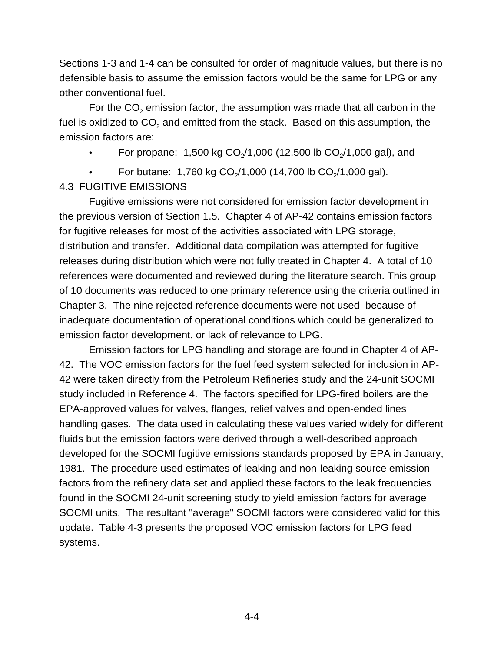Sections 1-3 and 1-4 can be consulted for order of magnitude values, but there is no defensible basis to assume the emission factors would be the same for LPG or any other conventional fuel.

For the  $CO<sub>2</sub>$  emission factor, the assumption was made that all carbon in the fuel is oxidized to  $CO<sub>2</sub>$  and emitted from the stack. Based on this assumption, the emission factors are:

- For propane: 1,500 kg  $CO<sub>2</sub>/1,000$  (12,500 lb  $CO<sub>2</sub>/1,000$  gal), and
- For butane: 1,760 kg  $CO<sub>2</sub>/1,000$  (14,700 lb  $CO<sub>2</sub>/1,000$  gal).

### 4.3 FUGITIVE EMISSIONS

Fugitive emissions were not considered for emission factor development in the previous version of Section 1.5. Chapter 4 of AP-42 contains emission factors for fugitive releases for most of the activities associated with LPG storage, distribution and transfer. Additional data compilation was attempted for fugitive releases during distribution which were not fully treated in Chapter 4. A total of 10 references were documented and reviewed during the literature search. This group of 10 documents was reduced to one primary reference using the criteria outlined in Chapter 3. The nine rejected reference documents were not used because of inadequate documentation of operational conditions which could be generalized to emission factor development, or lack of relevance to LPG.

Emission factors for LPG handling and storage are found in Chapter 4 of AP-42. The VOC emission factors for the fuel feed system selected for inclusion in AP-42 were taken directly from the Petroleum Refineries study and the 24-unit SOCMI study included in Reference 4. The factors specified for LPG-fired boilers are the EPA-approved values for valves, flanges, relief valves and open-ended lines handling gases. The data used in calculating these values varied widely for different fluids but the emission factors were derived through a well-described approach developed for the SOCMI fugitive emissions standards proposed by EPA in January, 1981. The procedure used estimates of leaking and non-leaking source emission factors from the refinery data set and applied these factors to the leak frequencies found in the SOCMI 24-unit screening study to yield emission factors for average SOCMI units. The resultant "average" SOCMI factors were considered valid for this update. Table 4-3 presents the proposed VOC emission factors for LPG feed systems.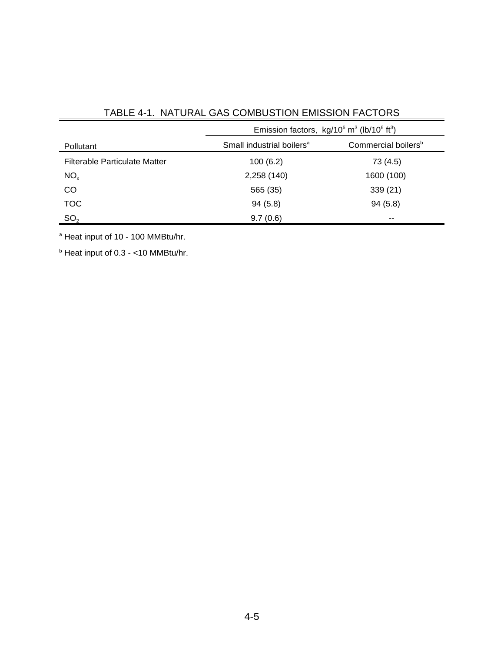|                                      | Emission factors, $kg/10^6$ m <sup>3</sup> (lb/10 <sup>6</sup> ft <sup>3</sup> ) |                                 |  |
|--------------------------------------|----------------------------------------------------------------------------------|---------------------------------|--|
| Pollutant                            | Small industrial boilers <sup>a</sup>                                            | Commercial boilers <sup>b</sup> |  |
| <b>Filterable Particulate Matter</b> | 100(6.2)                                                                         | 73 (4.5)                        |  |
| NO <sub>x</sub>                      | 2,258 (140)                                                                      | 1600 (100)                      |  |
| CO                                   | 565 (35)                                                                         | 339 (21)                        |  |
| <b>TOC</b>                           | 94(5.8)                                                                          | 94(5.8)                         |  |
| SO <sub>2</sub>                      | 9.7(0.6)                                                                         | $- -$                           |  |

TABLE 4-1. NATURAL GAS COMBUSTION EMISSION FACTORS

<sup>a</sup> Heat input of 10 - 100 MMBtu/hr.

 $b$  Heat input of 0.3 - <10 MMBtu/hr.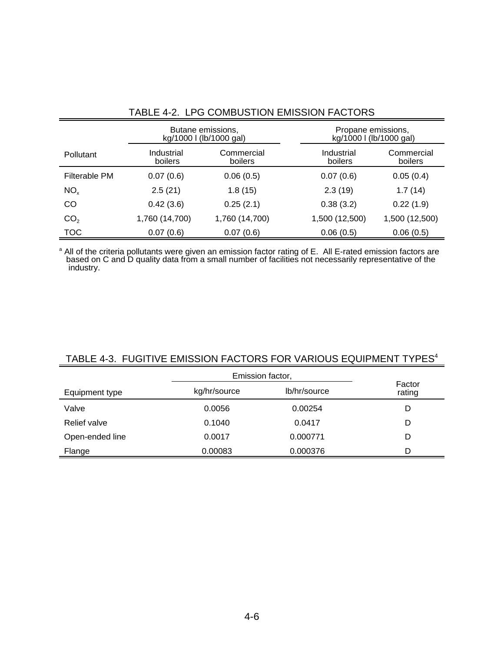|                 |                              | Butane emissions,<br>kg/1000 l (lb/1000 gal) | Propane emissions,<br>kg/1000 l (lb/1000 gal) |                       |
|-----------------|------------------------------|----------------------------------------------|-----------------------------------------------|-----------------------|
| Pollutant       | Industrial<br><b>boilers</b> | Commercial<br>boilers                        | Industrial<br>boilers                         | Commercial<br>boilers |
| Filterable PM   | 0.07(0.6)                    | 0.06(0.5)                                    | 0.07(0.6)                                     | 0.05(0.4)             |
| NO <sub>x</sub> | 2.5(21)                      | 1.8(15)                                      | 2.3(19)                                       | 1.7(14)               |
| CO              | 0.42(3.6)                    | 0.25(2.1)                                    | 0.38(3.2)                                     | 0.22(1.9)             |
| CO <sub>2</sub> | 1,760 (14,700)               | 1,760 (14,700)                               | 1,500 (12,500)                                | 1,500 (12,500)        |
| <b>TOC</b>      | 0.07(0.6)                    | 0.07(0.6)                                    | 0.06(0.5)                                     | 0.06(0.5)             |

# TABLE 4-2. LPG COMBUSTION EMISSION FACTORS

<sup>a</sup> All of the criteria pollutants were given an emission factor rating of E. All E-rated emission factors are based on C and D quality data from a small number of facilities not necessarily representative of the industry.

|                 | Emission factor, |              |                  |
|-----------------|------------------|--------------|------------------|
| Equipment type  | kg/hr/source     | lb/hr/source | Factor<br>rating |
| Valve           | 0.0056           | 0.00254      | D                |
| Relief valve    | 0.1040           | 0.0417       | D                |
| Open-ended line | 0.0017           | 0.000771     | D                |
| Flange          | 0.00083          | 0.000376     | D                |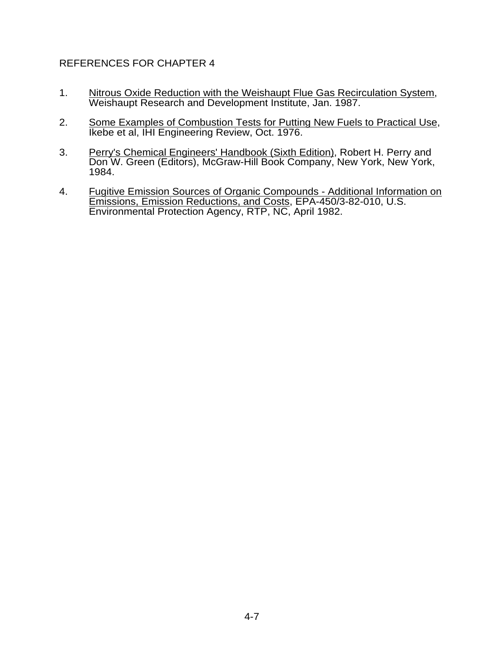## REFERENCES FOR CHAPTER 4

- 1. Nitrous Oxide Reduction with the Weishaupt Flue Gas Recirculation System, Weishaupt Research and Development Institute, Jan. 1987.
- 2. Some Examples of Combustion Tests for Putting New Fuels to Practical Use, Ikebe et al, IHI Engineering Review, Oct. 1976.
- 3. Perry's Chemical Engineers' Handbook (Sixth Edition), Robert H. Perry and Don W. Green (Editors), McGraw-Hill Book Company, New York, New York, 1984.
- 4. Fugitive Emission Sources of Organic Compounds Additional Information on Emissions, Emission Reductions, and Costs, EPA-450/3-82-010, U.S. Environmental Protection Agency, RTP, NC, April 1982.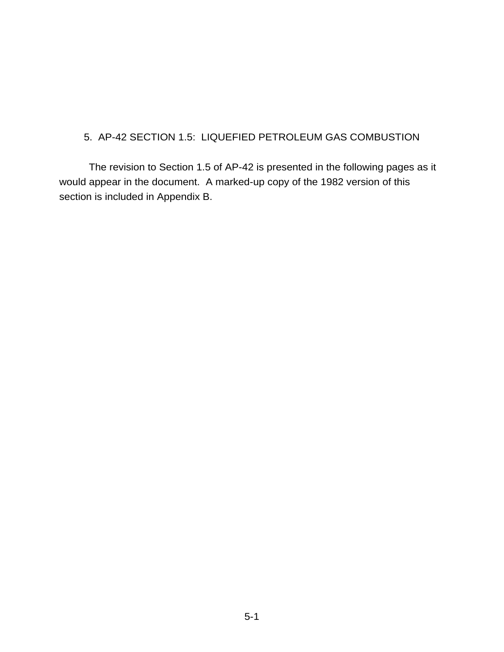# 5. AP-42 SECTION 1.5: LIQUEFIED PETROLEUM GAS COMBUSTION

The revision to Section 1.5 of AP-42 is presented in the following pages as it would appear in the document. A marked-up copy of the 1982 version of this section is included in Appendix B.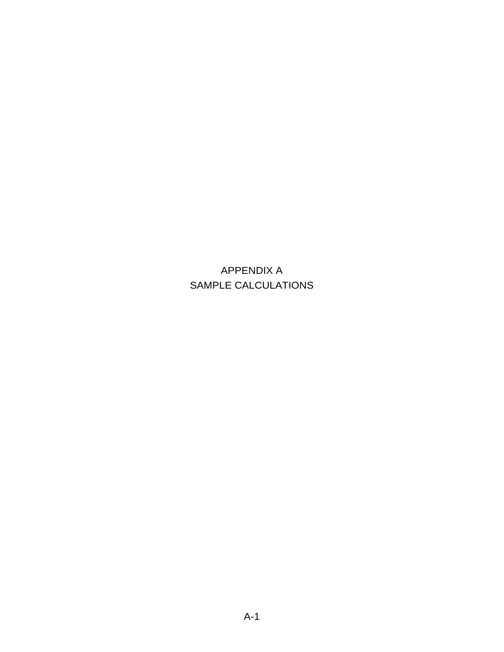APPENDIX A SAMPLE CALCULATIONS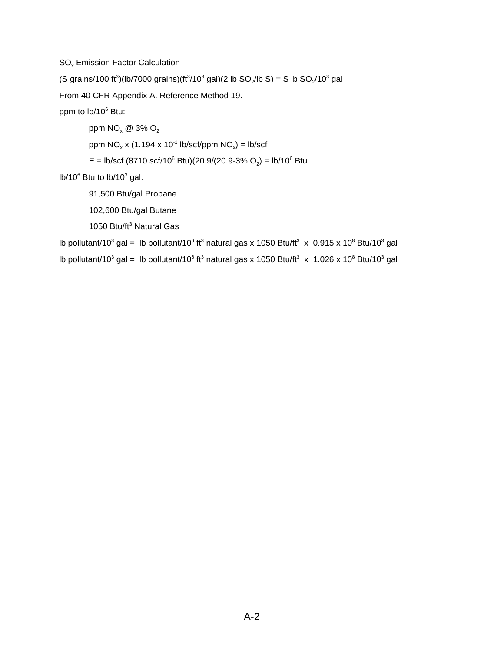#### SO<sub>x</sub> Emission Factor Calculation

(S grains/100 ft<sup>3</sup>)(lb/7000 grains)(ft<sup>3</sup>/10<sup>3</sup> gal)(2 lb SO<sub>2</sub>/lb S) = S lb SO<sub>2</sub>/10<sup>3</sup> gal

From 40 CFR Appendix A. Reference Method 19.

ppm to lb/10<sup>6</sup> Btu:

ppm  $NO_x \otimes 3\% O_2$ 

ppm  $NO_x$  x (1.194 x 10<sup>-1</sup> lb/scf/ppm  $NO_x$ ) = lb/scf

E = lb/scf (8710 scf/10<sup>6</sup> Btu)(20.9/(20.9-3% O<sub>2</sub>) = lb/10<sup>6</sup> Btu

 $lb/10^6$  Btu to  $lb/10^3$  gal:

91,500 Btu/gal Propane

102,600 Btu/gal Butane

1050 Btu/ft<sup>3</sup> Natural Gas

lb pollutant/10<sup>3</sup> gal = lb pollutant/10<sup>6</sup> ft<sup>3</sup> natural gas x 1050 Btu/ft<sup>3</sup> x 0.915 x 10<sup>8</sup> Btu/10<sup>3</sup> gal

lb pollutant/10<sup>3</sup> gal = lb pollutant/10<sup>6</sup> ft<sup>3</sup> natural gas x 1050 Btu/ft<sup>3</sup> x 1.026 x 10<sup>8</sup> Btu/10<sup>3</sup> gal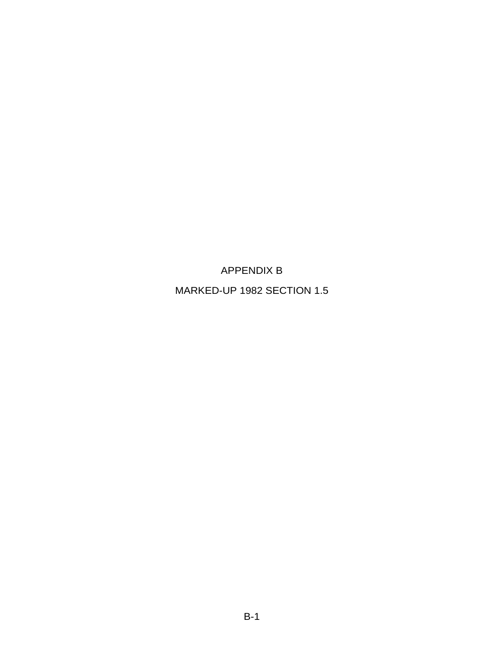APPENDIX B

MARKED-UP 1982 SECTION 1.5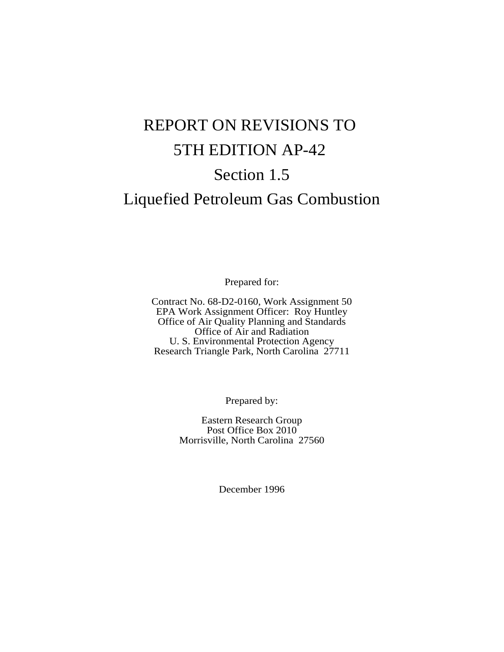# REPORT ON REVISIONS TO 5TH EDITION AP-42 Section 1.5

# Liquefied Petroleum Gas Combustion

Prepared for:

Contract No. 68-D2-0160, Work Assignment 50 EPA Work Assignment Officer: Roy Huntley Office of Air Quality Planning and Standards Office of Air and Radiation U. S. Environmental Protection Agency Research Triangle Park, North Carolina 27711

Prepared by:

Eastern Research Group Post Office Box 2010 Morrisville, North Carolina 27560

December 1996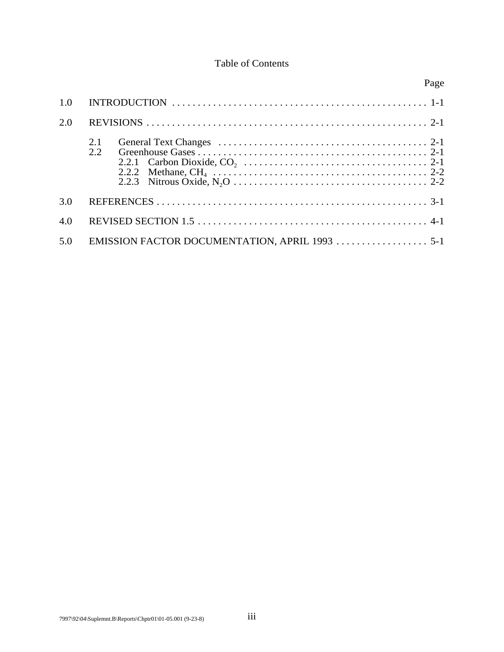#### Table of Contents

|     |                                                | Page |
|-----|------------------------------------------------|------|
| 1.0 |                                                |      |
| 2.0 |                                                |      |
|     | 2.1<br>2.2                                     |      |
| 3.0 |                                                |      |
| 4.0 |                                                |      |
| 5.0 | EMISSION FACTOR DOCUMENTATION, APRIL 1993  5-1 |      |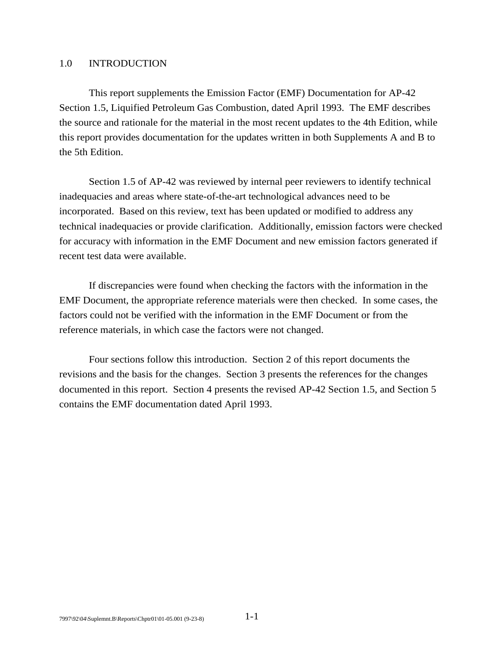#### 1.0 INTRODUCTION

This report supplements the Emission Factor (EMF) Documentation for AP-42 Section 1.5, Liquified Petroleum Gas Combustion, dated April 1993. The EMF describes the source and rationale for the material in the most recent updates to the 4th Edition, while this report provides documentation for the updates written in both Supplements A and B to the 5th Edition.

Section 1.5 of AP-42 was reviewed by internal peer reviewers to identify technical inadequacies and areas where state-of-the-art technological advances need to be incorporated. Based on this review, text has been updated or modified to address any technical inadequacies or provide clarification. Additionally, emission factors were checked for accuracy with information in the EMF Document and new emission factors generated if recent test data were available.

If discrepancies were found when checking the factors with the information in the EMF Document, the appropriate reference materials were then checked. In some cases, the factors could not be verified with the information in the EMF Document or from the reference materials, in which case the factors were not changed.

Four sections follow this introduction. Section 2 of this report documents the revisions and the basis for the changes. Section 3 presents the references for the changes documented in this report. Section 4 presents the revised AP-42 Section 1.5, and Section 5 contains the EMF documentation dated April 1993.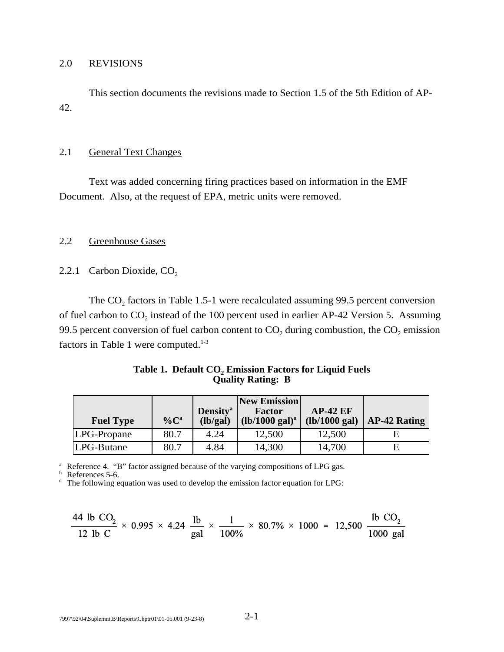#### 2.0 REVISIONS

This section documents the revisions made to Section 1.5 of the 5th Edition of AP-42.

#### 2.1 General Text Changes

Text was added concerning firing practices based on information in the EMF Document. Also, at the request of EPA, metric units were removed.

#### 2.2 Greenhouse Gases

2.2.1 Carbon Dioxide,  $CO<sub>2</sub>$ 

The  $CO<sub>2</sub>$  factors in Table 1.5-1 were recalculated assuming 99.5 percent conversion of fuel carbon to  $CO_2$  instead of the 100 percent used in earlier AP-42 Version 5. Assuming 99.5 percent conversion of fuel carbon content to  $CO<sub>2</sub>$  during combustion, the  $CO<sub>2</sub>$  emission factors in Table 1 were computed. $1-3$ 

| Table 1. Default CO, Emission Factors for Liquid Fuels |  |
|--------------------------------------------------------|--|
| <b>Quality Rating: B</b>                               |  |

|                  |                     |                             | <b>New Emission</b>       |               |                     |
|------------------|---------------------|-----------------------------|---------------------------|---------------|---------------------|
|                  |                     | <b>Density</b> <sup>a</sup> | Factor                    | $AP-42 EF$    |                     |
| <b>Fuel Type</b> | $\%$ C <sup>a</sup> | (lb/gal)                    | $(lb/1000 \text{ gal})^a$ | (lb/1000 gal) | <b>AP-42 Rating</b> |
| LPG-Propane      | 80.7                | 4.24                        | 12,500                    | 12,500        |                     |
| LPG-Butane       | 80.7                | 4.84                        | 14,300                    | 14,700        | E                   |

<sup>a</sup> Reference 4. "B" factor assigned because of the varying compositions of LPG gas.<br>
<sup>b</sup> References 5-6. c The following equation was used to develop the emission factor equation for LPG:

$$
\frac{44 \text{ lb CO}_2}{12 \text{ lb C}} \times 0.995 \times 4.24 \frac{\text{ lb}}{\text{gal}} \times \frac{1}{100\%} \times 80.7\% \times 1000 = 12,500 \frac{\text{ lb CO}_2}{1000 \text{ gal}}
$$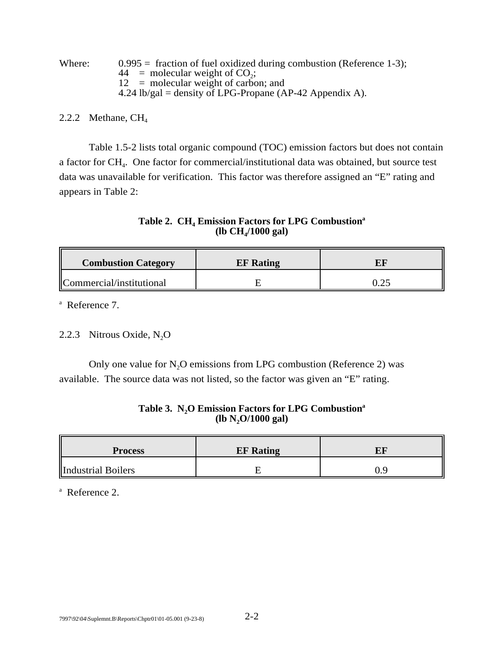| Where: | $0.995$ = fraction of fuel oxidized during combustion (Reference 1-3); |
|--------|------------------------------------------------------------------------|
|        | $44 =$ molecular weight of CO <sub>2</sub> ;                           |
|        | $12 =$ molecular weight of carbon; and                                 |
|        | 4.24 lb/gal = density of LPG-Propane (AP-42 Appendix A).               |

#### 2.2.2 Methane,  $CH<sub>4</sub>$

Table 1.5-2 lists total organic compound (TOC) emission factors but does not contain a factor for CH4. One factor for commercial/institutional data was obtained, but source test data was unavailable for verification. This factor was therefore assigned an "E" rating and appears in Table 2:

Table 2. CH<sub>4</sub> Emission Factors for LPG Combustion<sup>a</sup> **(lb CH4/1000 gal)**

| <b>Combustion Category</b>            | <b>EF</b> Rating |  |
|---------------------------------------|------------------|--|
| $\mathbb{C}$ Commercial/institutional |                  |  |

a Reference 7.

#### 2.2.3 Nitrous Oxide,  $N_2O$

Only one value for  $N_2O$  emissions from LPG combustion (Reference 2) was available. The source data was not listed, so the factor was given an "E" rating.

#### Table 3. N<sub>2</sub>O Emission Factors for LPG Combustion<sup>a</sup> **(lb N2O/1000 gal)**

| <b>Process</b>     | <b>EF</b> Rating |  |
|--------------------|------------------|--|
| Industrial Boilers |                  |  |

a Reference 2.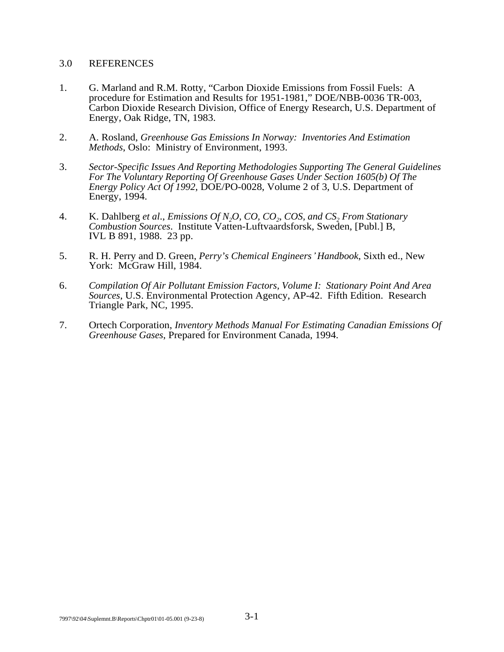#### 3.0 REFERENCES

- 1. G. Marland and R.M. Rotty, "Carbon Dioxide Emissions from Fossil Fuels: A procedure for Estimation and Results for 1951-1981," DOE/NBB-0036 TR-003, Carbon Dioxide Research Division, Office of Energy Research, U.S. Department of Energy, Oak Ridge, TN, 1983.
- 2. A. Rosland, *Greenhouse Gas Emissions In Norway: Inventories And Estimation Methods*, Oslo: Ministry of Environment, 1993.
- 3. *Sector-Specific Issues And Reporting Methodologies Supporting The General Guidelines For The Voluntary Reporting Of Greenhouse Gases Under Section 1605(b) Of The Energy Policy Act Of 1992, DOE/PO-0028, Volume 2 of 3, U.S. Department of* Energy, 1994.
- 4. K. Dahlberg *et al., Emissions Of N<sub>2</sub>O, CO, CO<sub>2</sub>, COS, and CS<sub>2</sub> From Stationary Combustion Sources*. Institute Vatten-Luftvaardsforsk, Sweden, [Publ.] B, IVL B 891, 1988. 23 pp.
- 5. R. H. Perry and D. Green, *Perry's Chemical Engineers*\* *Handbook*, Sixth ed., New York: McGraw Hill, 1984.
- 6. *Compilation Of Air Pollutant Emission Factors, Volume I: Stationary Point And Area Sources*, U.S. Environmental Protection Agency, AP-42. Fifth Edition. Research Triangle Park, NC, 1995.
- 7. Ortech Corporation, *Inventory Methods Manual For Estimating Canadian Emissions Of Greenhouse Gases*, Prepared for Environment Canada, 1994.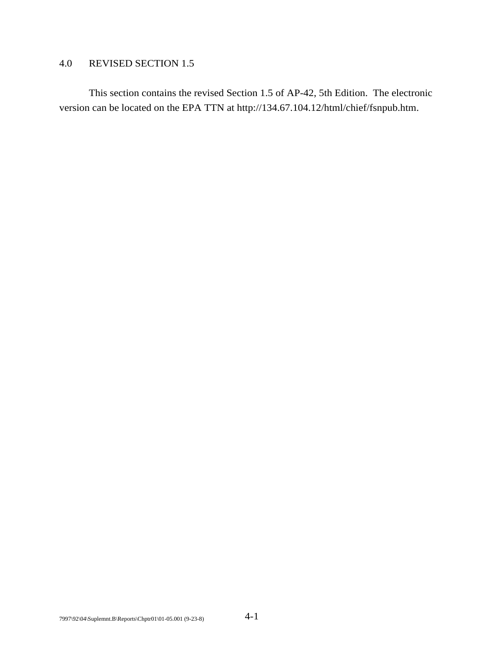#### 4.0 REVISED SECTION 1.5

This section contains the revised Section 1.5 of AP-42, 5th Edition. The electronic version can be located on the EPA TTN at http://134.67.104.12/html/chief/fsnpub.htm.